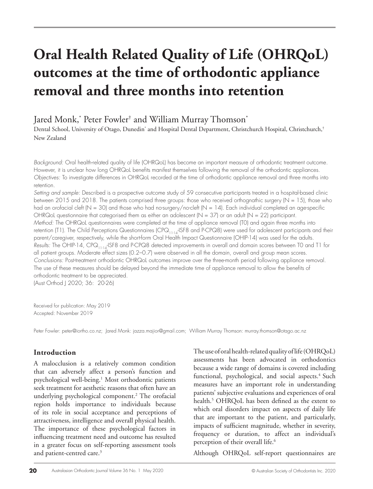# **Oral Health Related Quality of Life (OHRQoL) outcomes at the time of orthodontic appliance removal and three months into retention**

Jared Monk,\* Peter Fowler† and William Murray Thomson\*

Dental School, University of Otago, Dunedin\* and Hospital Dental Department, Christchurch Hospital, Christchurch,† New Zealand

*Background:* Oral health-related quality of life (OHRQoL) has become an important measure of orthodontic treatment outcome. However, it is unclear how long OHRQoL benefits manifest themselves following the removal of the orthodontic appliances. *Objectives:* To investigate differences in OHRQoL recorded at the time of orthodontic appliance removal and three months into retention.

*Setting and sample:* Described is a prospective outcome study of 59 consecutive participants treated in a hospital-based clinic between 2015 and 2018. The patients comprised three groups: those who received orthognathic surgery (N = 15), those who had an orofacial cleft (N = 30) and those who had no-surgery/no-cleft (N = 14). Each individual completed an age-specific OHRQoL questionnaire that categorised them as either an adolescent ( $N = 37$ ) or an adult ( $N = 22$ ) participant. *Method:* The OHRQoL questionnaires were completed at the time of appliance removal (T0) and again three months into retention (T1). The Child Perceptions Questionnaires (CPQ<sub>11-14</sub>-ISF8 and P-CPQ8) were used for adolescent participants and their parent/caregiver, respectively, while the short-form Oral Health Impact Questionnaire (OHIP-14) was used for the adults. *Results:* The OHIP-14, CPQ11-14-ISF8 and P-CPQ8 detected improvements in overall and domain scores between T0 and T1 for all patient groups. Moderate effect sizes (0.2–0.7) were observed in all the domain, overall and group mean scores. *Conclusions:* Post-treatment orthodontic OHRQoL outcomes improve over the three-month period following appliance removal. The use of these measures should be delayed beyond the immediate time of appliance removal to allow the benefits of orthodontic treatment to be appreciated. (Aust Orthod J 2020; 36: 20-26)

Received for publication: May 2019 Accepted: November 2019

Peter Fowler: peter@iortho.co.nz; Jared Monk: jazza.majior@gmail.com; William Murray Thomson: murray.thomson@otago.ac.nz

# **Introduction**

A malocclusion is a relatively common condition that can adversely affect a person's function and psychological well-being.<sup>1</sup> Most orthodontic patients seek treatment for aesthetic reasons that often have an underlying psychological component.2 The orofacial region holds importance to individuals because of its role in social acceptance and perceptions of attractiveness, intelligence and overall physical health. The importance of these psychological factors in influencing treatment need and outcome has resulted in a greater focus on self-reporting assessment tools and patient-centred care.<sup>3</sup>

The use of oral health-related quality of life (OHRQoL) assessments has been advocated in orthodontics because a wide range of domains is covered including functional, psychological, and social aspects.<sup>4</sup> Such measures have an important role in understanding patients' subjective evaluations and experiences of oral health.5 OHRQoL has been defined as the extent to which oral disorders impact on aspects of daily life that are important to the patient, and particularly, impacts of sufficient magnitude, whether in severity, frequency or duration, to affect an individual's perception of their overall life.<sup>6</sup>

Although OHRQoL self-report questionnaires are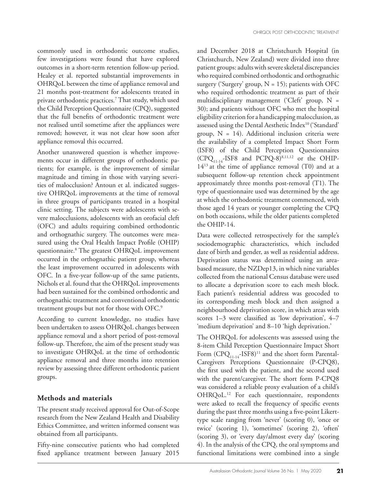commonly used in orthodontic outcome studies, few investigations were found that have explored outcomes in a short-term retention follow-up period. Healey et al. reported substantial improvements in OHRQoL between the time of appliance removal and 21 months post-treatment for adolescents treated in private orthodontic practices.7 That study, which used the Child Perception Questionnaire (CPQ), suggested that the full benefits of orthodontic treatment were not realised until sometime after the appliances were removed; however, it was not clear how soon after appliance removal this occurred.

Another unanswered question is whether improvements occur in different groups of orthodontic patients; for example, is the improvement of similar magnitude and timing in those with varying severities of malocclusion? Antoun et al. indicated suggestive OHRQoL improvements at the time of removal in three groups of participants treated in a hospital clinic setting. The subjects were adolescents with severe malocclusions, adolescents with an orofacial cleft (OFC) and adults requiring combined orthodontic and orthognathic surgery. The outcomes were measured using the Oral Health Impact Profile (OHIP) questionnaire.8 The greatest OHRQoL improvement occurred in the orthognathic patient group, whereas the least improvement occurred in adolescents with OFC. In a five-year follow-up of the same patients, Nichols et al. found that the OHRQoL improvements had been sustained for the combined orthodontic and orthognathic treatment and conventional orthodontic treatment groups but not for those with OFC.9

According to current knowledge, no studies have been undertaken to assess OHRQoL changes between appliance removal and a short period of post-removal follow-up. Therefore, the aim of the present study was to investigate OHRQoL at the time of orthodontic appliance removal and three months into retention review by assessing three different orthodontic patient groups.

## **Methods and materials**

The present study received approval for Out-of-Scope research from the New Zealand Health and Disability Ethics Committee, and written informed consent was obtained from all participants.

Fifty-nine consecutive patients who had completed fixed appliance treatment between January 2015 and December 2018 at Christchurch Hospital (in Christchurch, New Zealand) were divided into three patient groups: adults with severe skeletal discrepancies who required combined orthodontic and orthognathic surgery ('Surgery' group,  $N = 15$ ); patients with OFC who required orthodontic treatment as part of their multidisciplinary management ('Cleft' group, N = 30); and patients without OFC who met the hospital eligibility criterion for a handicapping malocclusion, as assessed using the Dental Aesthetic Index10 ('Standard' group,  $N = 14$ ). Additional inclusion criteria were the availability of a completed Impact Short Form (ISF8) of the Child Perception Questionnaires  $(CPQ<sub>11-14</sub> - ISF8$  and PCPQ-8)<sup>8,11,12</sup> or the OHIP- $14^{13}$  at the time of appliance removal (T0) and at a subsequent follow-up retention check appointment approximately three months post-removal (T1). The type of questionnaire used was determined by the age at which the orthodontic treatment commenced, with those aged 14 years or younger completing the CPQ on both occasions, while the older patients completed the OHIP-14.

Data were collected retrospectively for the sample's sociodemographic characteristics, which included date of birth and gender, as well as residential address. Deprivation status was determined using an areabased measure, the NZDep13, in which nine variables collected from the national Census database were used to allocate a deprivation score to each mesh block. Each patient's residential address was geocoded to its corresponding mesh block and then assigned a neighbourhood deprivation score, in which areas with scores 1–3 were classified as 'low deprivation', 4–7 'medium deprivation' and 8–10 'high deprivation.'

The OHRQoL for adolescents was assessed using the 8-item Child Perception Questionnaire Impact Short Form  $(CPQ_{11\text{-}14}\text{-}ISF8)^{11}$  and the short form Parental-Caregivers Perceptions Questionnaire (P-CPQ8), the first used with the patient, and the second used with the parent/caregiver. The short form P-CPQ8 was considered a reliable proxy evaluation of a child's OHRQoL.12 For each questionnaire, respondents were asked to recall the frequency of specific events during the past three months using a five-point Likerttype scale ranging from 'never' (scoring 0), 'once or twice' (scoring 1), 'sometimes' (scoring 2), 'often' (scoring 3), or 'every day/almost every day' (scoring 4). In the analysis of the CPQ, the oral symptoms and functional limitations were combined into a single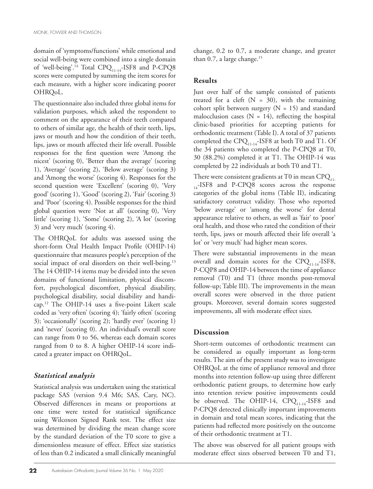domain of 'symptoms/functions' while emotional and social well-being were combined into a single domain of 'well-being'.<sup>14</sup> Total CPQ<sub>11-14</sub>-ISF8 and P-CPQ8 scores were computed by summing the item scores for each measure, with a higher score indicating poorer OHRQoL.

The questionnaire also included three global items for validation purposes, which asked the respondent to comment on the appearance of their teeth compared to others of similar age, the health of their teeth, lips, jaws or mouth and how the condition of their teeth, lips, jaws or mouth affected their life overall. Possible responses for the first question were 'Among the nicest' (scoring 0), 'Better than the average' (scoring 1), 'Average' (scoring 2), 'Below average' (scoring 3) and 'Among the worse' (scoring 4). Responses for the second question were 'Excellent' (scoring 0), 'Very good' (scoring 1), 'Good' (scoring 2), 'Fair' (scoring 3) and 'Poor' (scoring 4). Possible responses for the third global question were 'Not at all' (scoring 0), 'Very little' (scoring 1), 'Some' (scoring 2), 'A lot' (scoring 3) and 'very much' (scoring 4).

The OHRQoL for adults was assessed using the short-form Oral Health Impact Profile (OHIP-14) questionnaire that measures people's perception of the social impact of oral disorders on their well-being.<sup>13</sup> The 14 OHIP-14 items may be divided into the seven domains of functional limitation, physical discomfort, psychological discomfort, physical disability, psychological disability, social disability and handicap.12 The OHIP-14 uses a five-point Likert scale coded as 'very often' (scoring 4); 'fairly often' (scoring 3); 'occasionally' (scoring 2); 'hardly ever' (scoring 1) and 'never' (scoring 0). An individual's overall score can range from 0 to 56, whereas each domain scores ranged from 0 to 8. A higher OHIP-14 score indicated a greater impact on OHRQoL.

# *Statistical analysis*

Statistical analysis was undertaken using the statistical package SAS (version 9.4 M6; SAS, Cary, NC). Observed differences in means or proportions at one time were tested for statistical significance using Wilcoxon Signed Rank test. The effect size was determined by dividing the mean change score by the standard deviation of the T0 score to give a dimensionless measure of effect. Effect size statistics of less than 0.2 indicated a small clinically meaningful

change, 0.2 to 0.7, a moderate change, and greater than  $0.7$ , a large change.<sup>15</sup>

# **Results**

Just over half of the sample consisted of patients treated for a cleft  $(N = 30)$ , with the remaining cohort split between surgery  $(N = 15)$  and standard malocclusion cases ( $N = 14$ ), reflecting the hospital clinic-based priorities for accepting patients for orthodontic treatment (Table I). A total of 37 patients completed the CPQ $_{11-14}$ -ISF8 at both T0 and T1. Of the 34 patients who completed the P-CPQ8 at T0, 30 (88.2%) completed it at T1. The OHIP-14 was completed by 22 individuals at both T0 and T1.

There were consistent gradients at T0 in mean  $CPQ_{11}$  $_{14}$ -ISF8 and P-CPQ8 scores across the response categories of the global items (Table II), indicating satisfactory construct validity. Those who reported 'below average' or 'among the worse' for dental appearance relative to others, as well as 'fair' to 'poor' oral health, and those who rated the condition of their teeth, lips, jaws or mouth affected their life overall 'a lot' or 'very much' had higher mean scores.

There were substantial improvements in the mean overall and domain scores for the  $CPQ_{11-14}$ -ISF8, P-CQP8 and OHIP-14 between the time of appliance removal (T0) and T1 (three months post-removal follow-up; Table III). The improvements in the mean overall scores were observed in the three patient groups. Moreover, several domain scores suggested improvements, all with moderate effect sizes.

# **Discussion**

Short-term outcomes of orthodontic treatment can be considered as equally important as long-term results. The aim of the present study was to investigate OHRQoL at the time of appliance removal and three months into retention follow-up using three different orthodontic patient groups, to determine how early into retention review positive improvements could be observed. The OHIP-14,  $CPQ_{11-14}$ -ISF8 and P-CPQ8 detected clinically important improvements in domain and total mean scores, indicating that the patients had reflected more positively on the outcome of their orthodontic treatment at T1.

The above was observed for all patient groups with moderate effect sizes observed between T0 and T1,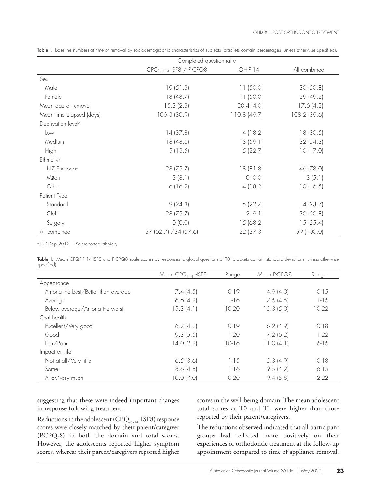|                                | Completed questionnaire               |             |              |  |
|--------------------------------|---------------------------------------|-------------|--------------|--|
|                                | $CPQ$ <sub>11-14</sub> -ISF8 / P-CPQ8 | $OHIP-14$   | All combined |  |
| Sex                            |                                       |             |              |  |
| Male                           | 19(51.3)                              | 11(50.0)    | 30(50.8)     |  |
| Female                         | 18(48.7)                              | 11(50.0)    | 29 (49.2)    |  |
| Mean age at removal            | 15.3(2.3)                             | 20.4(4.0)   | 17.6(4.2)    |  |
| Mean time elapsed (days)       | 106.3 (30.9)                          | 110.8(49.7) | 108.2 (39.6) |  |
| Deprivation level <sup>a</sup> |                                       |             |              |  |
| Low                            | 14(37.8)                              | 4(18.2)     | 18(30.5)     |  |
| Medium                         | 18 (48.6)                             | 13(59.1)    | 32(54.3)     |  |
| <b>High</b>                    | 5(13.5)                               | 5(22.7)     | 10(17.0)     |  |
| Ethnicity <sup>b</sup>         |                                       |             |              |  |
| NZ European                    | 28 (75.7)                             | 18(81.8)    | 46 (78.0)    |  |
| Māori                          | 3(8.1)                                | O (O.O)     | 3(5.1)       |  |
| Other                          | 6(16.2)                               | 4(18.2)     | 10(16.5)     |  |
| Patient Type                   |                                       |             |              |  |
| Standard                       | 9(24.3)                               | 5(22.7)     | 14(23.7)     |  |
| Cleft                          | 28 (75.7)                             | 2(9.1)      | 30(50.8)     |  |
| Surgery                        | O (O.O)                               | 15(68.2)    | 15(25.4)     |  |
| All combined                   | 37 (62.7) / 34 (57.6)                 | 22(37.3)    | 59 (100.0)   |  |

Table I. Baseline numbers at time of removal by sociodemographic characteristics of subjects (brackets contain percentages, unless otherwise specified).

<sup>。</sup>NZ Dep 2013 b Self-reported ethnicity

Table II. Mean CPQ11-14-ISF8 and P-CPQ8 scale scores by responses to global questions at T0 (brackets contain standard deviations, unless otherwise specified).

|                                    | Mean $CPO_{11.14}$ -ISF8 | Range     | Mean P-CPQ8 | Range     |
|------------------------------------|--------------------------|-----------|-------------|-----------|
| Appearance                         |                          |           |             |           |
| Among the best/Better than average | 7.4(4.5)                 | $0-19$    | 4.9(4.0)    | $0 - 15$  |
| Average                            | 6.6(4.8)                 | $1 - 16$  | 7.6(4.5)    | $1 - 16$  |
| Below average/Among the worst      | 15.3(4.1)                | $10-20$   | 15.3(5.0)   | $10-22$   |
| Oral health                        |                          |           |             |           |
| Excellent/Very good                | $6.2$ (4.2)              | $0-19$    | 6.2(4.9)    | $0-18$    |
| Good                               | 9.3(5.5)                 | $1-20$    | 7.2(6.2)    | $1-22$    |
| Fair/Poor                          | 14.0(2.8)                | $10-16$   | 11.0(4.1)   | $6 - 16$  |
| Impact on life                     |                          |           |             |           |
| Not at all/Very little             | 6.5(3.6)                 | $1 - 1.5$ | 5.3(4.9)    | $O-18$    |
| Some                               | 8.6(4.8)                 | $1 - 16$  | 9.5(4.2)    | $6 - 1.5$ |
| A lot/Very much                    | $10.0$ $(7.0)$           | $O-2O$    | 9.4(5.8)    | $2 - 22$  |

suggesting that these were indeed important changes in response following treatment.

Reductions in the adolescent (CPQ $_{11\text{-}14}$ -ISF8) response scores were closely matched by their parent/caregiver (PCPQ-8) in both the domain and total scores. However, the adolescents reported higher symptom scores, whereas their parent/caregivers reported higher scores in the well-being domain. The mean adolescent total scores at T0 and T1 were higher than those reported by their parent/caregivers.

The reductions observed indicated that all participant groups had reflected more positively on their experiences of orthodontic treatment at the follow-up appointment compared to time of appliance removal.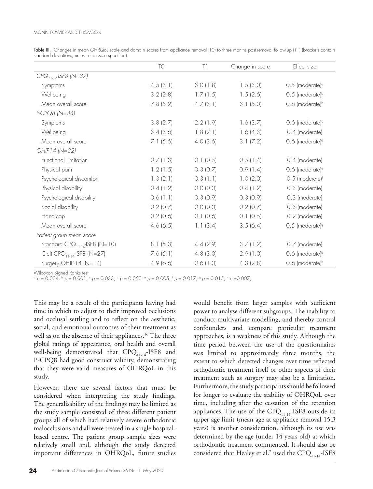|                                     | <b>TO</b>   | T1            | Change in score | Effect size                                    |
|-------------------------------------|-------------|---------------|-----------------|------------------------------------------------|
| $CPQ11:14$ -ISF8 (N=37)             |             |               |                 |                                                |
| Symptoms                            | 4.5(3.1)    | 3.0(1.8)      | 1.5(3.0)        | $0.5$ (moderate) <sup><math>\circ</math></sup> |
| Wellbeing                           | 3.2(2.8)    | 1.7(1.5)      | 1.5(2.6)        | $0.5$ (moderate) <sup>b</sup>                  |
| Mean overall score                  | 7.8(5.2)    | 4.7(3.1)      | 3.1(5.0)        | 0.6 (moderate) <sup>b</sup>                    |
| P-CPQ8 (N=34)                       |             |               |                 |                                                |
| Symptoms                            | 3.8(2.7)    | 2.2(1.9)      | 1.6(3.7)        | 0.6 (moderate) <sup>c</sup>                    |
| Wellbeing                           | 3.4(3.6)    | 1.8(2.1)      | 1.6(4.3)        | 0.4 (moderate)                                 |
| Mean overall score                  | 7.1(5.6)    | 4.0(3.6)      | 3.1 (7.2)       | 0.6 (moderate) <sup>d</sup>                    |
| OHIP14 (N=22)                       |             |               |                 |                                                |
| Functional Limitation               | 0.7(1.3)    | $0.1$ (0.5)   | 0.5(1.4)        | 0.4 (moderate)                                 |
| Physical pain                       | 1.2(1.5)    | $0.3$ (0.7)   | 0.9(1.4)        | 0.6 (moderate) <sup>e</sup>                    |
| Psychological discomfort            | 1.3(2.1)    | $0.3$ (1.1)   | 1.0(2.0)        | 0.5 (moderate)f                                |
| Physical disability                 | 0.4(1.2)    | $0.0$ $(0.0)$ | 0.4(1.2)        | 0.3 (moderate)                                 |
| Psychological disability            | 0.6(1.1)    | 0.3(0.9)      | 0.3(0.9)        | 0.3 (moderate)                                 |
| Social disability                   | $0.2$ (0.7) | $0.0$ $(0.0)$ | $0.2$ (0.7)     | 0.3 (moderate)                                 |
| Handicap                            | $0.2$ (0.6) | $0.1$ $(0.6)$ | 0.1(0.5)        | 0.2 (moderate)                                 |
| Mean overall score                  | 4.6(6.5)    | 1.1(3.4)      | 3.5(6.4)        | $0.5$ (moderate) <sup>9</sup>                  |
| Patient group mean score            |             |               |                 |                                                |
| Standard $CPQ_{11-14}$ -ISF8 (N=10) | 8.1(5.3)    | 4.4(2.9)      | 3.7(1.2)        | 0.7 (moderate)                                 |
| Cleft $CPO11:14$ -ISF8 (N=27)       | 7.6(5.1)    | 4.8(3.0)      | 2.9(1.0)        | 0.6 (moderate) <sup>a</sup>                    |
| Surgery OHIP-14 ( $N=14$ )          | 4.9(6.6)    | 0.6(1.0)      | 4.3(2.8)        | 0.6 (moderate) <sup>h</sup>                    |

Table III. Changes in mean OHRQoL scale and domain scores from appliance removal (TO) to three months post-removal follow-up (T1) (brackets contain standard deviations, unless otherwise specified).

Wilcoxon Signed Ranks test

 $\alpha$  *p* = 0.004;  $\beta$  *p* = 0.001;  $\alpha$  *p* = 0.033;  $\alpha$  *p* = 0.050;  $\alpha$  *p* = 0.005;  $\beta$  *p* = 0.015;  $\beta$  *p* = 0.007;

This may be a result of the participants having had time in which to adjust to their improved occlusions and occlusal settling and to reflect on the aesthetic, social, and emotional outcomes of their treatment as well as on the absence of their appliances.<sup>16</sup> The three global ratings of appearance, oral health and overall well-being demonstrated that CPQ<sub>11-14</sub>-ISF8 and P-CPQ8 had good construct validity, demonstrating that they were valid measures of OHRQoL in this study.

However, there are several factors that must be considered when interpreting the study findings. The generalisability of the findings may be limited as the study sample consisted of three different patient groups all of which had relatively severe orthodontic malocclusions and all were treated in a single hospitalbased centre. The patient group sample sizes were relatively small and, although the study detected important differences in OHRQoL, future studies

would benefit from larger samples with sufficient power to analyse different subgroups. The inability to conduct multivariate modelling, and thereby control confounders and compare particular treatment approaches, is a weakness of this study. Although the time period between the use of the questionnaires was limited to approximately three months, the extent to which detected changes over time reflected orthodontic treatment itself or other aspects of their treatment such as surgery may also be a limitation. Furthermore, the study participants should be followed for longer to evaluate the stability of OHRQoL over time, including after the cessation of the retention appliances. The use of the  $CPQ_{11-14}$ -ISF8 outside its upper age limit (mean age at appliance removal 15.3 years) is another consideration, although its use was determined by the age (under 14 years old) at which orthodontic treatment commenced. It should also be considered that Healey et al.<sup>7</sup> used the  $\mathrm{CPQ}_{11\text{-}14\text{-}}\mathrm{ISF8}$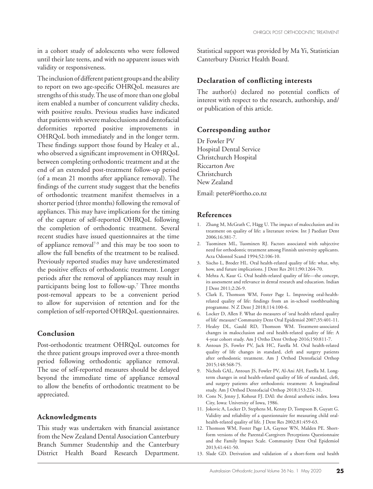in a cohort study of adolescents who were followed until their late teens, and with no apparent issues with validity or responsiveness.

The inclusion of different patient groups and the ability to report on two age-specific OHRQoL measures are strengths of this study. The use of more than one global item enabled a number of concurrent validity checks, with positive results. Previous studies have indicated that patients with severe malocclusions and dentofacial deformities reported positive improvements in OHRQoL both immediately and in the longer term. These findings support those found by Healey et al., who observed a significant improvement in OHRQoL between completing orthodontic treatment and at the end of an extended post-treatment follow-up period (of a mean 21 months after appliance removal). The findings of the current study suggest that the benefits of orthodontic treatment manifest themselves in a shorter period (three months) following the removal of appliances. This may have implications for the timing of the capture of self-reported OHRQoL following the completion of orthodontic treatment. Several recent studies have issued questionnaires at the time of appliance removal<sup>7-9</sup> and this may be too soon to allow the full benefits of the treatment to be realised. Previously reported studies may have underestimated the positive effects of orthodontic treatment. Longer periods after the removal of appliances may result in participants being lost to follow-up.<sup>7</sup> Three months post-removal appears to be a convenient period to allow for supervision of retention and for the completion of self-reported OHRQoL questionnaires.

## **Conclusion**

Post-orthodontic treatment OHRQoL outcomes for the three patient groups improved over a three-month period following orthodontic appliance removal. The use of self-reported measures should be delayed beyond the immediate time of appliance removal to allow the benefits of orthodontic treatment to be appreciated.

#### **Acknowledgments**

This study was undertaken with financial assistance from the New Zealand Dental Association Canterbury Branch Summer Studentship and the Canterbury District Health Board Research Department.

Statistical support was provided by Ma Yi, Statistician Canterbury District Health Board.

## **Declaration of conflicting interests**

The author(s) declared no potential conflicts of interest with respect to the research, authorship, and/ or publication of this article.

#### **Corresponding author**

Dr Fowler PV Hospital Dental Service Christchurch Hospital Riccarton Ave Christchurch New Zealand

Email: peter@iortho.co.nz

#### **References**

- 1. Zhang M, McGrath C, Hägg U. The impact of malocclusion and its treatment on quality of life: a literature review. Int J Paediatr Dent 2006;16:381-7.
- 2. Tuominen ML, Tuominen RJ. Factors associated with subjective need for orthodontic treatment among Finnish university applicants. Acta Odontol Scand 1994;52:106-10.
- 3. Sischo L, Broder HL. Oral health-related quality of life: what, why, how, and future implications. J Dent Res 2011;90:1264-70.
- 4. Mehta A, Kaur G. Oral health-related quality of life—the concept, its assessment and relevance in dental research and education. Indian J Dent 2011;2:26-9.
- 5. Clark E, Thomson WM, Foster Page L. Improving oral-healthrelated quality of life: findings from an in-school toothbrushing programme*.* N Z Dent J 2018;114:100-6.
- 6. Locker D, Allen F. What do measures of 'oral health related quality of life' measure? Community Dent Oral Epidemiol 2007;35:401-11.
- 7. Healey DL, Gauld RD, Thomson WM. Treatment-associated changes in malocclusion and oral health-related quality of life: A 4-year cohort study. Am J Ortho Dent Orthop 2016;150:811-7.
- 8. Antoun JS, Fowler PV, Jack HC, Farella M. Oral health-related quality of life changes in standard, cleft and surgery patients after orthodontic treatment. Am J Orthod Dentofacial Orthop 2015;148:568-75.
- 9. Nichols GAL, Antoun JS, Fowler PV, Al-Ani AH, Farella M. Longterm changes in oral health-related quality of life of standard, cleft, and surgery patients after orthodontic treatment: A longitudinal study. Am J Orthod Dentofacial Orthop 2018;153:224-31.
- 10. Cons N, Jenny J, Kohout FJ. DAI: the dental aesthetic index. Iowa City, Iowa: University of Iowa, 1986.
- 11. Jokovic A, Locker D, Stephens M, Kenny D, Tompson B, Guyatt G. Validity and reliability of a questionnaire for measuring child oralhealth-related quality of life. J Dent Res 2002;81:459-63.
- 12. Thomson WM, Foster Page LA, Gaynor WN, Malden PE. Shortform versions of the Parental-Caregivers Perceptions Questionnaire and the Family Impact Scale. Community Dent Oral Epidemiol 2013;41:441-50.
- 13. Slade GD. Derivation and validation of a short-form oral health